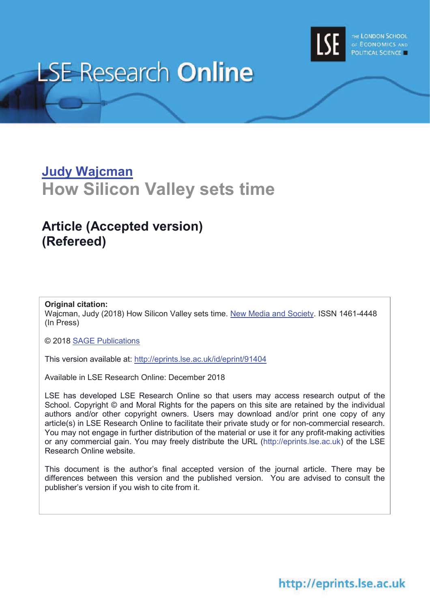

# **LSE Research Online**

## **Judy Wajcman How Silicon Valley sets time**

### **Article (Accepted version) (Refereed)**

#### **Original citation:**

Wajcman, Judy (2018) How Silicon Valley sets time. New Media and Society. ISSN 1461-4448 (In Press)

© 2018 SAGE Publications

This version available at: http://eprints.lse.ac.uk/id/eprint/91404

Available in LSE Research Online: December 2018

LSE has developed LSE Research Online so that users may access research output of the School. Copyright © and Moral Rights for the papers on this site are retained by the individual authors and/or other copyright owners. Users may download and/or print one copy of any article(s) in LSE Research Online to facilitate their private study or for non-commercial research. You may not engage in further distribution of the material or use it for any profit-making activities or any commercial gain. You may freely distribute the URL (http://eprints.lse.ac.uk) of the LSE Research Online website.

This document is the author's final accepted version of the journal article. There may be differences between this version and the published version. You are advised to consult the publisher's version if you wish to cite from it.

http://eprints.lse.ac.uk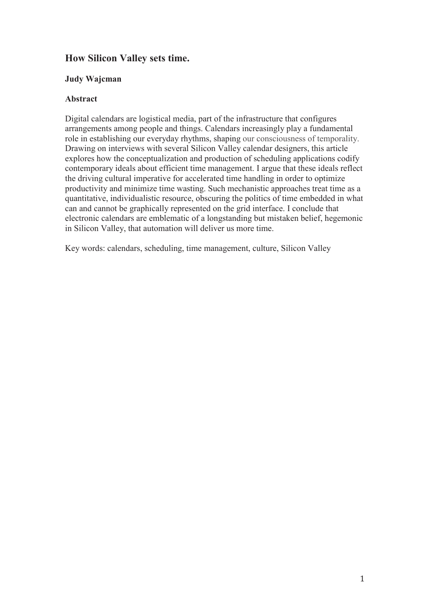#### **How Silicon Valley sets time.**

#### **Judy Wajcman**

#### **Abstract**

Digital calendars are logistical media, part of the infrastructure that configures arrangements among people and things. Calendars increasingly play a fundamental role in establishing our everyday rhythms, shaping our consciousness of temporality. Drawing on interviews with several Silicon Valley calendar designers, this article explores how the conceptualization and production of scheduling applications codify contemporary ideals about efficient time management. I argue that these ideals reflect the driving cultural imperative for accelerated time handling in order to optimize productivity and minimize time wasting. Such mechanistic approaches treat time as a quantitative, individualistic resource, obscuring the politics of time embedded in what can and cannot be graphically represented on the grid interface. I conclude that electronic calendars are emblematic of a longstanding but mistaken belief, hegemonic in Silicon Valley, that automation will deliver us more time.

Key words: calendars, scheduling, time management, culture, Silicon Valley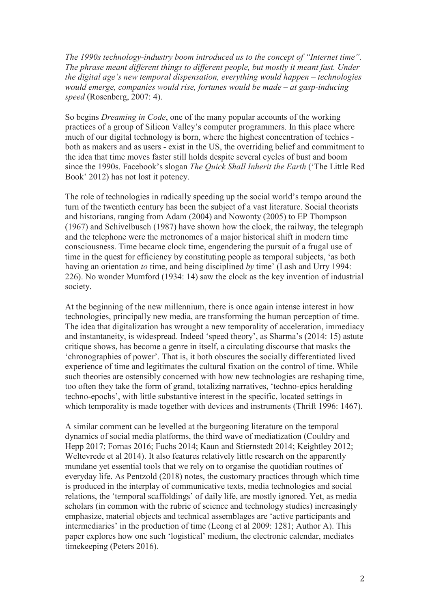*The 1990s technology-industry boom introduced us to the concept of "Internet time". The phrase meant different things to different people, but mostly it meant fast. Under the digital age's new temporal dispensation, everything would happen – technologies would emerge, companies would rise, fortunes would be made – at gasp-inducing speed* (Rosenberg, 2007: 4).

So begins *Dreaming in Code*, one of the many popular accounts of the working practices of a group of Silicon Valley's computer programmers. In this place where much of our digital technology is born, where the highest concentration of techies both as makers and as users - exist in the US, the overriding belief and commitment to the idea that time moves faster still holds despite several cycles of bust and boom since the 1990s. Facebook's slogan *The Quick Shall Inherit the Earth* ('The Little Red Book' 2012) has not lost it potency.

The role of technologies in radically speeding up the social world's tempo around the turn of the twentieth century has been the subject of a vast literature. Social theorists and historians, ranging from Adam (2004) and Nowonty (2005) to EP Thompson (1967) and Schivelbusch (1987) have shown how the clock, the railway, the telegraph and the telephone were the metronomes of a major historical shift in modern time consciousness. Time became clock time, engendering the pursuit of a frugal use of time in the quest for efficiency by constituting people as temporal subjects, 'as both having an orientation *to* time, and being disciplined *by* time' (Lash and Urry 1994: 226). No wonder Mumford (1934: 14) saw the clock as the key invention of industrial society.

At the beginning of the new millennium, there is once again intense interest in how technologies, principally new media, are transforming the human perception of time. The idea that digitalization has wrought a new temporality of acceleration, immediacy and instantaneity, is widespread. Indeed 'speed theory', as Sharma's (2014: 15) astute critique shows, has become a genre in itself, a circulating discourse that masks the 'chronographies of power'. That is, it both obscures the socially differentiated lived experience of time and legitimates the cultural fixation on the control of time. While such theories are ostensibly concerned with how new technologies are reshaping time, too often they take the form of grand, totalizing narratives, 'techno-epics heralding techno-epochs', with little substantive interest in the specific, located settings in which temporality is made together with devices and instruments (Thrift 1996: 1467).

A similar comment can be levelled at the burgeoning literature on the temporal dynamics of social media platforms, the third wave of mediatization (Couldry and Hepp 2017; Fornas 2016; Fuchs 2014; Kaun and Stiernstedt 2014; Keightley 2012; Weltevrede et al 2014). It also features relatively little research on the apparently mundane yet essential tools that we rely on to organise the quotidian routines of everyday life. As Pentzold (2018) notes, the customary practices through which time is produced in the interplay of communicative texts, media technologies and social relations, the 'temporal scaffoldings' of daily life, are mostly ignored. Yet, as media scholars (in common with the rubric of science and technology studies) increasingly emphasize, material objects and technical assemblages are 'active participants and intermediaries' in the production of time (Leong et al 2009: 1281; Author A). This paper explores how one such 'logistical' medium, the electronic calendar, mediates timekeeping (Peters 2016).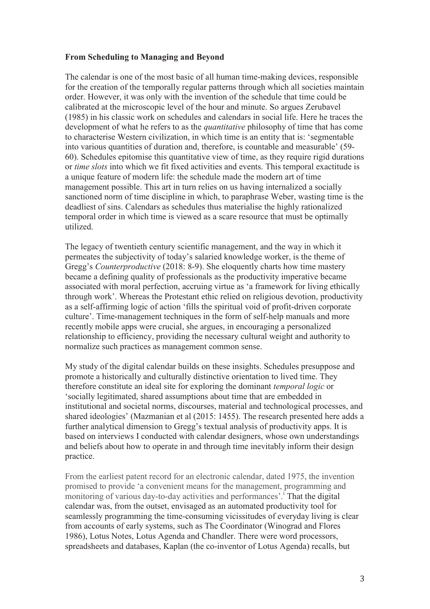#### **From Scheduling to Managing and Beyond**

The calendar is one of the most basic of all human time-making devices, responsible for the creation of the temporally regular patterns through which all societies maintain order. However, it was only with the invention of the schedule that time could be calibrated at the microscopic level of the hour and minute. So argues Zerubavel (1985) in his classic work on schedules and calendars in social life. Here he traces the development of what he refers to as the *quantitative* philosophy of time that has come to characterise Western civilization, in which time is an entity that is: 'segmentable into various quantities of duration and, therefore, is countable and measurable' (59- 60). Schedules epitomise this quantitative view of time, as they require rigid durations or *time slots* into which we fit fixed activities and events. This temporal exactitude is a unique feature of modern life: the schedule made the modern art of time management possible. This art in turn relies on us having internalized a socially sanctioned norm of time discipline in which, to paraphrase Weber, wasting time is the deadliest of sins. Calendars as schedules thus materialise the highly rationalized temporal order in which time is viewed as a scare resource that must be optimally utilized.

The legacy of twentieth century scientific management, and the way in which it permeates the subjectivity of today's salaried knowledge worker, is the theme of Gregg's *Counterproductive* (2018: 8-9). She eloquently charts how time mastery became a defining quality of professionals as the productivity imperative became associated with moral perfection, accruing virtue as 'a framework for living ethically through work'. Whereas the Protestant ethic relied on religious devotion, productivity as a self-affirming logic of action 'fills the spiritual void of profit-driven corporate culture'. Time-management techniques in the form of self-help manuals and more recently mobile apps were crucial, she argues, in encouraging a personalized relationship to efficiency, providing the necessary cultural weight and authority to normalize such practices as management common sense.

My study of the digital calendar builds on these insights. Schedules presuppose and promote a historically and culturally distinctive orientation to lived time. They therefore constitute an ideal site for exploring the dominant *temporal logic* or 'socially legitimated, shared assumptions about time that are embedded in institutional and societal norms, discourses, material and technological processes, and shared ideologies' (Mazmanian et al (2015: 1455). The research presented here adds a further analytical dimension to Gregg's textual analysis of productivity apps. It is based on interviews I conducted with calendar designers, whose own understandings and beliefs about how to operate in and through time inevitably inform their design practice.

From the earliest patent record for an electronic calendar, dated 1975, the invention promised to provide 'a convenient means for the management, programming and monitoring of various day-to-day activities and performances<sup>'. T</sup>hat the digital calendar was, from the outset, envisaged as an automated productivity tool for seamlessly programming the time-consuming vicissitudes of everyday living is clear from accounts of early systems, such as The Coordinator (Winograd and Flores 1986), Lotus Notes, Lotus Agenda and Chandler. There were word processors, spreadsheets and databases, Kaplan (the co-inventor of Lotus Agenda) recalls, but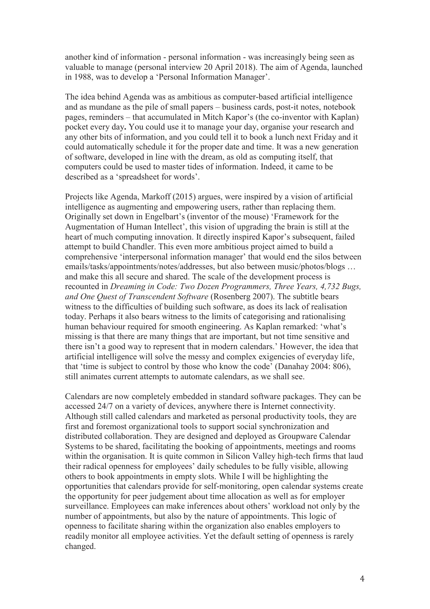another kind of information - personal information - was increasingly being seen as valuable to manage (personal interview 20 April 2018). The aim of Agenda, launched in 1988, was to develop a 'Personal Information Manager'.

The idea behind Agenda was as ambitious as computer-based artificial intelligence and as mundane as the pile of small papers – business cards, post-it notes, notebook pages, reminders – that accumulated in Mitch Kapor's (the co-inventor with Kaplan) pocket every day**.** You could use it to manage your day, organise your research and any other bits of information, and you could tell it to book a lunch next Friday and it could automatically schedule it for the proper date and time. It was a new generation of software, developed in line with the dream, as old as computing itself, that computers could be used to master tides of information. Indeed, it came to be described as a 'spreadsheet for words'.

Projects like Agenda, Markoff (2015) argues, were inspired by a vision of artificial intelligence as augmenting and empowering users, rather than replacing them. Originally set down in Engelbart's (inventor of the mouse) 'Framework for the Augmentation of Human Intellect', this vision of upgrading the brain is still at the heart of much computing innovation. It directly inspired Kapor's subsequent, failed attempt to build Chandler. This even more ambitious project aimed to build a comprehensive 'interpersonal information manager' that would end the silos between emails/tasks/appointments/notes/addresses, but also between music/photos/blogs … and make this all secure and shared. The scale of the development process is recounted in *Dreaming in Code: Two Dozen Programmers, Three Years, 4,732 Bugs, and One Quest of Transcendent Software* (Rosenberg 2007). The subtitle bears witness to the difficulties of building such software, as does its lack of realisation today. Perhaps it also bears witness to the limits of categorising and rationalising human behaviour required for smooth engineering. As Kaplan remarked: 'what's missing is that there are many things that are important, but not time sensitive and there isn't a good way to represent that in modern calendars.' However, the idea that artificial intelligence will solve the messy and complex exigencies of everyday life, that 'time is subject to control by those who know the code' (Danahay 2004: 806), still animates current attempts to automate calendars, as we shall see.

Calendars are now completely embedded in standard software packages. They can be accessed 24/7 on a variety of devices, anywhere there is Internet connectivity. Although still called calendars and marketed as personal productivity tools, they are first and foremost organizational tools to support social synchronization and distributed collaboration. They are designed and deployed as Groupware Calendar Systems to be shared, facilitating the booking of appointments, meetings and rooms within the organisation. It is quite common in Silicon Valley high-tech firms that laud their radical openness for employees' daily schedules to be fully visible, allowing others to book appointments in empty slots. While I will be highlighting the opportunities that calendars provide for self-monitoring, open calendar systems create the opportunity for peer judgement about time allocation as well as for employer surveillance. Employees can make inferences about others' workload not only by the number of appointments, but also by the nature of appointments. This logic of openness to facilitate sharing within the organization also enables employers to readily monitor all employee activities. Yet the default setting of openness is rarely changed.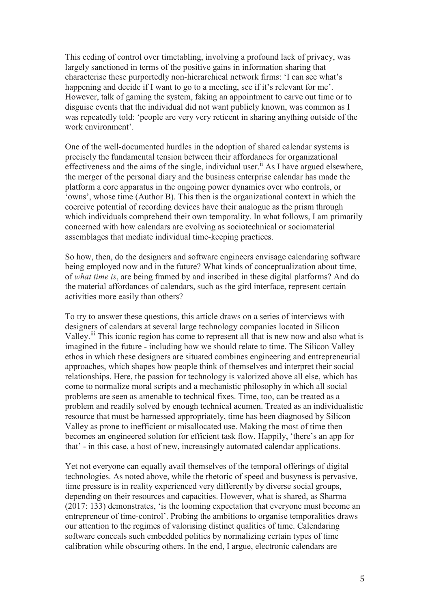This ceding of control over timetabling, involving a profound lack of privacy, was largely sanctioned in terms of the positive gains in information sharing that characterise these purportedly non-hierarchical network firms: 'I can see what's happening and decide if I want to go to a meeting, see if it's relevant for me'. However, talk of gaming the system, faking an appointment to carve out time or to disguise events that the individual did not want publicly known, was common as I was repeatedly told: 'people are very very reticent in sharing anything outside of the work environment'.

One of the well-documented hurdles in the adoption of shared calendar systems is precisely the fundamental tension between their affordances for organizational effectiveness and the aims of the single, individual user.<sup>ii</sup> As I have argued elsewhere, the merger of the personal diary and the business enterprise calendar has made the platform a core apparatus in the ongoing power dynamics over who controls, or 'owns', whose time (Author B). This then is the organizational context in which the coercive potential of recording devices have their analogue as the prism through which individuals comprehend their own temporality. In what follows, I am primarily concerned with how calendars are evolving as sociotechnical or sociomaterial assemblages that mediate individual time-keeping practices.

So how, then, do the designers and software engineers envisage calendaring software being employed now and in the future? What kinds of conceptualization about time, of *what time is*, are being framed by and inscribed in these digital platforms? And do the material affordances of calendars, such as the gird interface, represent certain activities more easily than others?

To try to answer these questions, this article draws on a series of interviews with designers of calendars at several large technology companies located in Silicon Valley.<sup>iii</sup> This iconic region has come to represent all that is new now and also what is imagined in the future - including how we should relate to time. The Silicon Valley ethos in which these designers are situated combines engineering and entrepreneurial approaches, which shapes how people think of themselves and interpret their social relationships. Here, the passion for technology is valorized above all else, which has come to normalize moral scripts and a mechanistic philosophy in which all social problems are seen as amenable to technical fixes. Time, too, can be treated as a problem and readily solved by enough technical acumen. Treated as an individualistic resource that must be harnessed appropriately, time has been diagnosed by Silicon Valley as prone to inefficient or misallocated use. Making the most of time then becomes an engineered solution for efficient task flow. Happily, 'there's an app for that' - in this case, a host of new, increasingly automated calendar applications.

Yet not everyone can equally avail themselves of the temporal offerings of digital technologies. As noted above, while the rhetoric of speed and busyness is pervasive, time pressure is in reality experienced very differently by diverse social groups, depending on their resources and capacities. However, what is shared, as Sharma (2017: 133) demonstrates, 'is the looming expectation that everyone must become an entrepreneur of time-control'. Probing the ambitions to organise temporalities draws our attention to the regimes of valorising distinct qualities of time. Calendaring software conceals such embedded politics by normalizing certain types of time calibration while obscuring others. In the end, I argue, electronic calendars are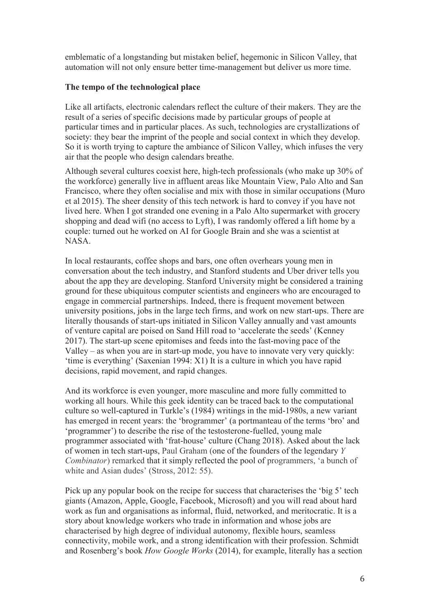emblematic of a longstanding but mistaken belief, hegemonic in Silicon Valley, that automation will not only ensure better time-management but deliver us more time.

#### **The tempo of the technological place**

Like all artifacts, electronic calendars reflect the culture of their makers. They are the result of a series of specific decisions made by particular groups of people at particular times and in particular places. As such, technologies are crystallizations of society: they bear the imprint of the people and social context in which they develop. So it is worth trying to capture the ambiance of Silicon Valley, which infuses the very air that the people who design calendars breathe.

Although several cultures coexist here, high-tech professionals (who make up 30% of the workforce) generally live in affluent areas like Mountain View, Palo Alto and San Francisco, where they often socialise and mix with those in similar occupations (Muro et al 2015). The sheer density of this tech network is hard to convey if you have not lived here. When I got stranded one evening in a Palo Alto supermarket with grocery shopping and dead wifi (no access to Lyft), I was randomly offered a lift home by a couple: turned out he worked on AI for Google Brain and she was a scientist at NASA.

In local restaurants, coffee shops and bars, one often overhears young men in conversation about the tech industry, and Stanford students and Uber driver tells you about the app they are developing. Stanford University might be considered a training ground for these ubiquitous computer scientists and engineers who are encouraged to engage in commercial partnerships. Indeed, there is frequent movement between university positions, jobs in the large tech firms, and work on new start-ups. There are literally thousands of start-ups initiated in Silicon Valley annually and vast amounts of venture capital are poised on Sand Hill road to 'accelerate the seeds' (Kenney 2017). The start-up scene epitomises and feeds into the fast-moving pace of the Valley – as when you are in start-up mode, you have to innovate very very quickly: 'time is everything' (Saxenian 1994: X1) It is a culture in which you have rapid decisions, rapid movement, and rapid changes.

And its workforce is even younger, more masculine and more fully committed to working all hours. While this geek identity can be traced back to the computational culture so well-captured in Turkle's (1984) writings in the mid-1980s, a new variant has emerged in recent years: the 'brogrammer' (a portmanteau of the terms 'bro' and 'programmer') to describe the rise of the testosterone-fuelled, young male programmer associated with 'frat-house' culture (Chang 2018). Asked about the lack of women in tech start-ups, Paul Graham (one of the founders of the legendary *Y Combinator*) remarked that it simply reflected the pool of programmers, 'a bunch of white and Asian dudes' (Stross, 2012: 55).

Pick up any popular book on the recipe for success that characterises the 'big 5' tech giants (Amazon, Apple, Google, Facebook, Microsoft) and you will read about hard work as fun and organisations as informal, fluid, networked, and meritocratic. It is a story about knowledge workers who trade in information and whose jobs are characterised by high degree of individual autonomy, flexible hours, seamless connectivity, mobile work, and a strong identification with their profession. Schmidt and Rosenberg's book *How Google Works* (2014), for example, literally has a section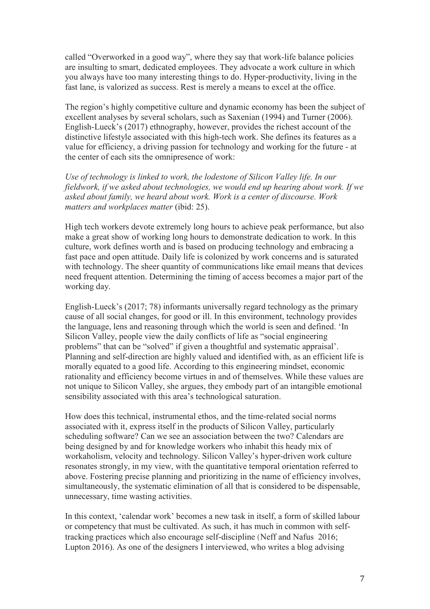called "Overworked in a good way", where they say that work-life balance policies are insulting to smart, dedicated employees. They advocate a work culture in which you always have too many interesting things to do. Hyper-productivity, living in the fast lane, is valorized as success. Rest is merely a means to excel at the office.

The region's highly competitive culture and dynamic economy has been the subject of excellent analyses by several scholars, such as Saxenian (1994) and Turner (2006). English-Lueck's (2017) ethnography, however, provides the richest account of the distinctive lifestyle associated with this high-tech work. She defines its features as a value for efficiency, a driving passion for technology and working for the future - at the center of each sits the omnipresence of work:

*Use of technology is linked to work, the lodestone of Silicon Valley life. In our fieldwork, if we asked about technologies, we would end up hearing about work. If we asked about family, we heard about work. Work is a center of discourse. Work matters and workplaces matter* (ibid: 25).

High tech workers devote extremely long hours to achieve peak performance, but also make a great show of working long hours to demonstrate dedication to work. In this culture, work defines worth and is based on producing technology and embracing a fast pace and open attitude. Daily life is colonized by work concerns and is saturated with technology. The sheer quantity of communications like email means that devices need frequent attention. Determining the timing of access becomes a major part of the working day.

English-Lueck's (2017; 78) informants universally regard technology as the primary cause of all social changes, for good or ill. In this environment, technology provides the language, lens and reasoning through which the world is seen and defined. 'In Silicon Valley, people view the daily conflicts of life as "social engineering problems" that can be "solved" if given a thoughtful and systematic appraisal'. Planning and self-direction are highly valued and identified with, as an efficient life is morally equated to a good life. According to this engineering mindset, economic rationality and efficiency become virtues in and of themselves. While these values are not unique to Silicon Valley, she argues, they embody part of an intangible emotional sensibility associated with this area's technological saturation.

How does this technical, instrumental ethos, and the time-related social norms associated with it, express itself in the products of Silicon Valley, particularly scheduling software? Can we see an association between the two? Calendars are being designed by and for knowledge workers who inhabit this heady mix of workaholism, velocity and technology. Silicon Valley's hyper-driven work culture resonates strongly, in my view, with the quantitative temporal orientation referred to above. Fostering precise planning and prioritizing in the name of efficiency involves, simultaneously, the systematic elimination of all that is considered to be dispensable, unnecessary, time wasting activities.

In this context, 'calendar work' becomes a new task in itself, a form of skilled labour or competency that must be cultivated. As such, it has much in common with selftracking practices which also encourage self-discipline(Neff and Nafus 2016; Lupton 2016). As one of the designers I interviewed, who writes a blog advising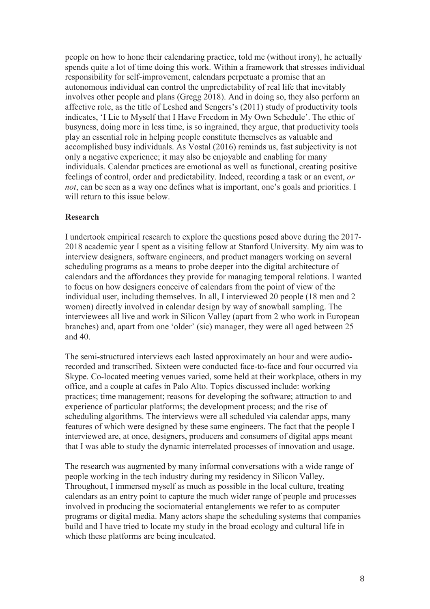people on how to hone their calendaring practice, told me (without irony), he actually spends quite a lot of time doing this work. Within a framework that stresses individual responsibility for self-improvement, calendars perpetuate a promise that an autonomous individual can control the unpredictability of real life that inevitably involves other people and plans (Gregg 2018). And in doing so, they also perform an affective role, as the title of Leshed and Sengers's (2011) study of productivity tools indicates, 'I Lie to Myself that I Have Freedom in My Own Schedule'. The ethic of busyness, doing more in less time, is so ingrained, they argue, that productivity tools play an essential role in helping people constitute themselves as valuable and accomplished busy individuals. As Vostal (2016) reminds us, fast subjectivity is not only a negative experience; it may also be enjoyable and enabling for many individuals. Calendar practices are emotional as well as functional, creating positive feelings of control, order and predictability. Indeed, recording a task or an event, *or not*, can be seen as a way one defines what is important, one's goals and priorities. I will return to this issue below.

#### **Research**

I undertook empirical research to explore the questions posed above during the 2017- 2018 academic year I spent as a visiting fellow at Stanford University. My aim was to interview designers, software engineers, and product managers working on several scheduling programs as a means to probe deeper into the digital architecture of calendars and the affordances they provide for managing temporal relations. I wanted to focus on how designers conceive of calendars from the point of view of the individual user, including themselves. In all, I interviewed 20 people (18 men and 2 women) directly involved in calendar design by way of snowball sampling. The interviewees all live and work in Silicon Valley (apart from 2 who work in European branches) and, apart from one 'older' (sic) manager, they were all aged between 25 and 40.

The semi-structured interviews each lasted approximately an hour and were audiorecorded and transcribed. Sixteen were conducted face-to-face and four occurred via Skype. Co-located meeting venues varied, some held at their workplace, others in my office, and a couple at cafes in Palo Alto. Topics discussed include: working practices; time management; reasons for developing the software; attraction to and experience of particular platforms; the development process; and the rise of scheduling algorithms. The interviews were all scheduled via calendar apps, many features of which were designed by these same engineers. The fact that the people I interviewed are, at once, designers, producers and consumers of digital apps meant that I was able to study the dynamic interrelated processes of innovation and usage.

The research was augmented by many informal conversations with a wide range of people working in the tech industry during my residency in Silicon Valley. Throughout, I immersed myself as much as possible in the local culture, treating calendars as an entry point to capture the much wider range of people and processes involved in producing the sociomaterial entanglements we refer to as computer programs or digital media. Many actors shape the scheduling systems that companies build and I have tried to locate my study in the broad ecology and cultural life in which these platforms are being inculcated.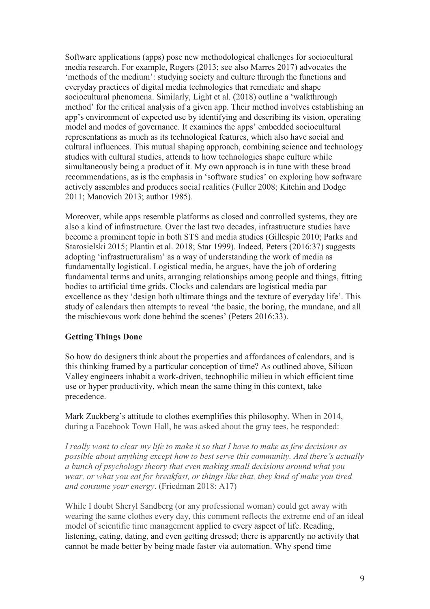Software applications (apps) pose new methodological challenges for sociocultural media research. For example, Rogers (2013; see also Marres 2017) advocates the 'methods of the medium': studying society and culture through the functions and everyday practices of digital media technologies that remediate and shape sociocultural phenomena. Similarly, Light et al. (2018) outline a 'walkthrough method' for the critical analysis of a given app. Their method involves establishing an app's environment of expected use by identifying and describing its vision, operating model and modes of governance. It examines the apps' embedded sociocultural representations as much as its technological features, which also have social and cultural influences. This mutual shaping approach, combining science and technology studies with cultural studies, attends to how technologies shape culture while simultaneously being a product of it. My own approach is in tune with these broad recommendations, as is the emphasis in 'software studies' on exploring how software actively assembles and produces social realities (Fuller 2008; Kitchin and Dodge 2011; Manovich 2013; author 1985).

Moreover, while apps resemble platforms as closed and controlled systems, they are also a kind of infrastructure. Over the last two decades, infrastructure studies have become a prominent topic in both STS and media studies (Gillespie 2010; Parks and Starosielski 2015; Plantin et al. 2018; Star 1999). Indeed, Peters (2016:37) suggests adopting 'infrastructuralism' as a way of understanding the work of media as fundamentally logistical. Logistical media, he argues, have the job of ordering fundamental terms and units, arranging relationships among people and things, fitting bodies to artificial time grids. Clocks and calendars are logistical media par excellence as they 'design both ultimate things and the texture of everyday life'. This study of calendars then attempts to reveal 'the basic, the boring, the mundane, and all the mischievous work done behind the scenes' (Peters 2016:33).

#### **Getting Things Done**

So how do designers think about the properties and affordances of calendars, and is this thinking framed by a particular conception of time? As outlined above, Silicon Valley engineers inhabit a work-driven, technophilic milieu in which efficient time use or hyper productivity, which mean the same thing in this context, take precedence.

Mark Zuckberg's attitude to clothes exemplifies this philosophy. When in 2014, during a Facebook Town Hall, he was asked about the gray tees, he responded:

*I really want to clear my life to make it so that I have to make as few decisions as possible about anything except how to best serve this community. And there's actually a bunch of psychology theory that even making small decisions around what you wear, or what you eat for breakfast, or things like that, they kind of make you tired and consume your energy*. (Friedman 2018: A17)

While I doubt Sheryl Sandberg (or any professional woman) could get away with wearing the same clothes every day, this comment reflects the extreme end of an ideal model of scientific time management applied to every aspect of life. Reading, listening, eating, dating, and even getting dressed; there is apparently no activity that cannot be made better by being made faster via automation. Why spend time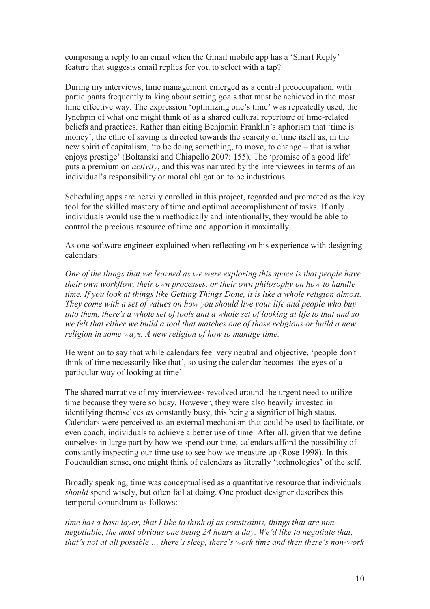composing a reply to an email when the Gmail mobile app has a 'Smart Reply' feature that suggests email replies for you to select with a tap?

During my interviews, time management emerged as a central preoccupation, with participants frequently talking about setting goals that must be achieved in the most time effective way. The expression 'optimizing one's time' was repeatedly used, the lynchpin of what one might think of as a shared cultural repertoire of time-related beliefs and practices. Rather than citing Benjamin Franklin's aphorism that 'time is money', the ethic of saving is directed towards the scarcity of time itself as, in the new spirit of capitalism, 'to be doing something, to move, to change – that is what enjoys prestige' (Boltanski and Chiapello 2007: 155). The 'promise of a good life' puts a premium on *activity*, and this was narrated by the interviewees in terms of an individual's responsibility or moral obligation to be industrious.

Scheduling apps are heavily enrolled in this project, regarded and promoted as the key tool for the skilled mastery of time and optimal accomplishment of tasks. If only individuals would use them methodically and intentionally, they would be able to control the precious resource of time and apportion it maximally.

As one software engineer explained when reflecting on his experience with designing calendars:

*One of the things that we learned as we were exploring this space is that people have their own workflow, their own processes, or their own philosophy on how to handle time. If you look at things like Getting Things Done, it is like a whole religion almost. They come with a set of values on how you should live your life and people who buy into them, there's a whole set of tools and a whole set of looking at life to that and so we felt that either we build a tool that matches one of those religions or build a new religion in some ways. A new religion of how to manage time.* 

He went on to say that while calendars feel very neutral and objective, 'people don't think of time necessarily like that', so using the calendar becomes 'the eyes of a particular way of looking at time'.

The shared narrative of my interviewees revolved around the urgent need to utilize time because they were so busy. However, they were also heavily invested in identifying themselves *as* constantly busy, this being a signifier of high status. Calendars were perceived as an external mechanism that could be used to facilitate, or even coach, individuals to achieve a better use of time. After all, given that we define ourselves in large part by how we spend our time, calendars afford the possibility of constantly inspecting our time use to see how we measure up (Rose 1998). In this Foucauldian sense, one might think of calendars as literally 'technologies' of the self.

Broadly speaking, time was conceptualised as a quantitative resource that individuals *should* spend wisely, but often fail at doing. One product designer describes this temporal conundrum as follows:

*time has a base layer, that I like to think of as constraints, things that are nonnegotiable, the most obvious one being 24 hours a day. We'd like to negotiate that, that's not at all possible … there's sleep, there's work time and then there's non-work*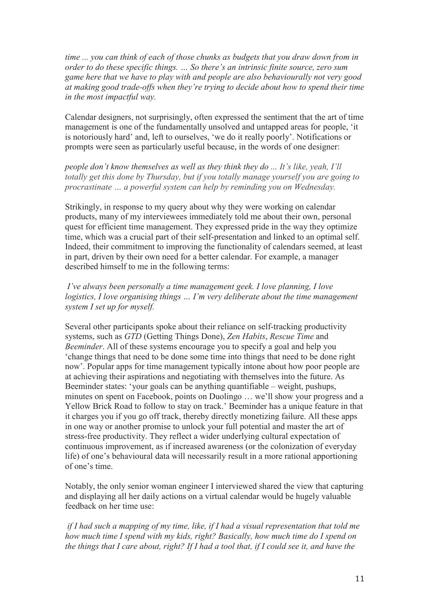*time ... you can think of each of those chunks as budgets that you draw down from in order to do these specific things. … So there's an intrinsic finite source, zero sum game here that we have to play with and people are also behaviourally not very good at making good trade-offs when they're trying to decide about how to spend their time in the most impactful way.*

Calendar designers, not surprisingly, often expressed the sentiment that the art of time management is one of the fundamentally unsolved and untapped areas for people, 'it is notoriously hard' and, left to ourselves, 'we do it really poorly'. Notifications or prompts were seen as particularly useful because, in the words of one designer:

*people don't know themselves as well as they think they do ... It's like, yeah, I'll totally get this done by Thursday, but if you totally manage yourself you are going to procrastinate … a powerful system can help by reminding you on Wednesday.* 

Strikingly, in response to my query about why they were working on calendar products, many of my interviewees immediately told me about their own, personal quest for efficient time management. They expressed pride in the way they optimize time, which was a crucial part of their self-presentation and linked to an optimal self. Indeed, their commitment to improving the functionality of calendars seemed, at least in part, driven by their own need for a better calendar. For example, a manager described himself to me in the following terms:

*I've always been personally a time management geek. I love planning, I love logistics, I love organising things … I'm very deliberate about the time management system I set up for myself.*

Several other participants spoke about their reliance on self-tracking productivity systems, such as *GTD* (Getting Things Done), *Zen Habits*, *Rescue Time* and *Beeminder*. All of these systems encourage you to specify a goal and help you 'change things that need to be done some time into things that need to be done right now'. Popular apps for time management typically intone about how poor people are at achieving their aspirations and negotiating with themselves into the future. As Beeminder states: 'your goals can be anything quantifiable – weight, pushups, minutes on spent on Facebook, points on Duolingo … we'll show your progress and a Yellow Brick Road to follow to stay on track.' Beeminder has a unique feature in that it charges you if you go off track, thereby directly monetizing failure. All these apps in one way or another promise to unlock your full potential and master the art of stress-free productivity. They reflect a wider underlying cultural expectation of continuous improvement, as if increased awareness (or the colonization of everyday life) of one's behavioural data will necessarily result in a more rational apportioning of one's time.

Notably, the only senior woman engineer I interviewed shared the view that capturing and displaying all her daily actions on a virtual calendar would be hugely valuable feedback on her time use:

*if I had such a mapping of my time, like, if I had a visual representation that told me how much time I spend with my kids, right? Basically, how much time do I spend on the things that I care about, right? If I had a tool that, if I could see it, and have the*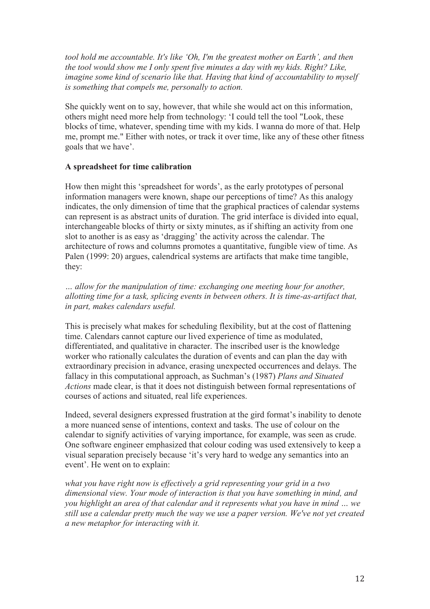*tool hold me accountable. It's like 'Oh, I'm the greatest mother on Earth', and then the tool would show me I only spent five minutes a day with my kids. Right? Like, imagine some kind of scenario like that. Having that kind of accountability to myself is something that compels me, personally to action.* 

She quickly went on to say, however, that while she would act on this information, others might need more help from technology: 'I could tell the tool "Look, these blocks of time, whatever, spending time with my kids. I wanna do more of that. Help me, prompt me." Either with notes, or track it over time, like any of these other fitness goals that we have'.

#### **A spreadsheet for time calibration**

How then might this 'spreadsheet for words', as the early prototypes of personal information managers were known, shape our perceptions of time? As this analogy indicates, the only dimension of time that the graphical practices of calendar systems can represent is as abstract units of duration. The grid interface is divided into equal, interchangeable blocks of thirty or sixty minutes, as if shifting an activity from one slot to another is as easy as 'dragging' the activity across the calendar. The architecture of rows and columns promotes a quantitative, fungible view of time. As Palen (1999: 20) argues, calendrical systems are artifacts that make time tangible, they:

*… allow for the manipulation of time: exchanging one meeting hour for another, allotting time for a task, splicing events in between others. It is time-as-artifact that, in part, makes calendars useful.* 

This is precisely what makes for scheduling flexibility, but at the cost of flattening time. Calendars cannot capture our lived experience of time as modulated, differentiated, and qualitative in character. The inscribed user is the knowledge worker who rationally calculates the duration of events and can plan the day with extraordinary precision in advance, erasing unexpected occurrences and delays. The fallacy in this computational approach, as Suchman's (1987) *Plans and Situated Actions* made clear, is that it does not distinguish between formal representations of courses of actions and situated, real life experiences.

Indeed, several designers expressed frustration at the gird format's inability to denote a more nuanced sense of intentions, context and tasks. The use of colour on the calendar to signify activities of varying importance, for example, was seen as crude. One software engineer emphasized that colour coding was used extensively to keep a visual separation precisely because 'it's very hard to wedge any semantics into an event'. He went on to explain:

*what you have right now is effectively a grid representing your grid in a two dimensional view. Your mode of interaction is that you have something in mind, and you highlight an area of that calendar and it represents what you have in mind … we still use a calendar pretty much the way we use a paper version. We've not yet created a new metaphor for interacting with it.*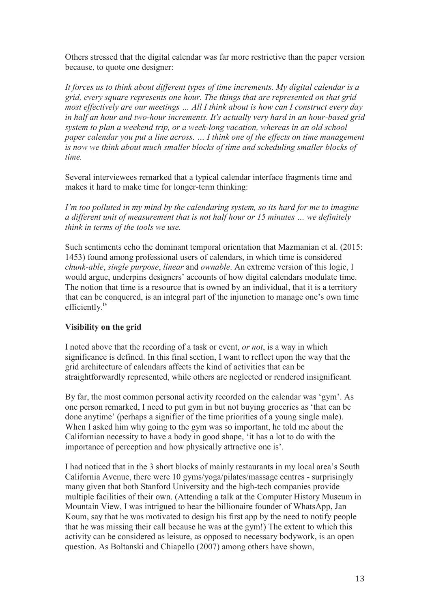Others stressed that the digital calendar was far more restrictive than the paper version because, to quote one designer:

*It forces us to think about different types of time increments. My digital calendar is a grid, every square represents one hour. The things that are represented on that grid most effectively are our meetings … All I think about is how can I construct every day in half an hour and two-hour increments. It's actually very hard in an hour-based grid system to plan a weekend trip, or a week-long vacation, whereas in an old school paper calendar you put a line across. … I think one of the effects on time management is now we think about much smaller blocks of time and scheduling smaller blocks of time.* 

Several interviewees remarked that a typical calendar interface fragments time and makes it hard to make time for longer-term thinking:

*I'm too polluted in my mind by the calendaring system, so its hard for me to imagine a different unit of measurement that is not half hour or 15 minutes … we definitely think in terms of the tools we use.* 

Such sentiments echo the dominant temporal orientation that Mazmanian et al. (2015: 1453) found among professional users of calendars, in which time is considered *chunk-able*, *single purpose*, *linear* and *ownable*. An extreme version of this logic, I would argue, underpins designers' accounts of how digital calendars modulate time. The notion that time is a resource that is owned by an individual, that it is a territory that can be conquered, is an integral part of the injunction to manage one's own time efficiently. $\mathrm{^{iv}}$ 

#### **Visibility on the grid**

I noted above that the recording of a task or event, *or not*, is a way in which significance is defined. In this final section, I want to reflect upon the way that the grid architecture of calendars affects the kind of activities that can be straightforwardly represented, while others are neglected or rendered insignificant.

By far, the most common personal activity recorded on the calendar was 'gym'. As one person remarked, I need to put gym in but not buying groceries as 'that can be done anytime' (perhaps a signifier of the time priorities of a young single male). When I asked him why going to the gym was so important, he told me about the Californian necessity to have a body in good shape, 'it has a lot to do with the importance of perception and how physically attractive one is'.

I had noticed that in the 3 short blocks of mainly restaurants in my local area's South California Avenue, there were 10 gyms/yoga/pilates/massage centres - surprisingly many given that both Stanford University and the high-tech companies provide multiple facilities of their own. (Attending a talk at the Computer History Museum in Mountain View, I was intrigued to hear the billionaire founder of WhatsApp, Jan Koum, say that he was motivated to design his first app by the need to notify people that he was missing their call because he was at the gym!) The extent to which this activity can be considered as leisure, as opposed to necessary bodywork, is an open question. As Boltanski and Chiapello (2007) among others have shown,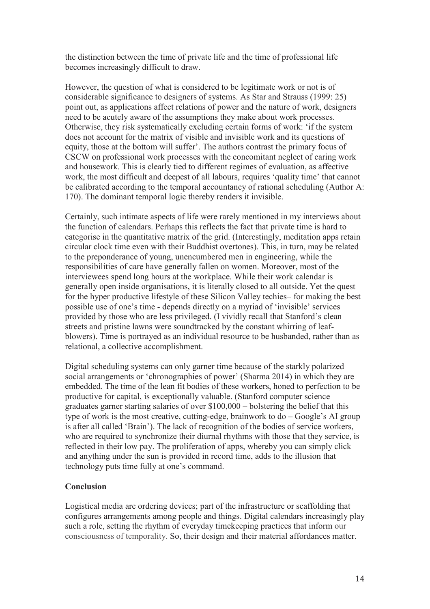the distinction between the time of private life and the time of professional life becomes increasingly difficult to draw.

However, the question of what is considered to be legitimate work or not is of considerable significance to designers of systems. As Star and Strauss (1999: 25) point out, as applications affect relations of power and the nature of work, designers need to be acutely aware of the assumptions they make about work processes. Otherwise, they risk systematically excluding certain forms of work: 'if the system does not account for the matrix of visible and invisible work and its questions of equity, those at the bottom will suffer'. The authors contrast the primary focus of CSCW on professional work processes with the concomitant neglect of caring work and housework. This is clearly tied to different regimes of evaluation, as affective work, the most difficult and deepest of all labours, requires 'quality time' that cannot be calibrated according to the temporal accountancy of rational scheduling (Author A: 170). The dominant temporal logic thereby renders it invisible.

Certainly, such intimate aspects of life were rarely mentioned in my interviews about the function of calendars. Perhaps this reflects the fact that private time is hard to categorise in the quantitative matrix of the grid. (Interestingly, meditation apps retain circular clock time even with their Buddhist overtones). This, in turn, may be related to the preponderance of young, unencumbered men in engineering, while the responsibilities of care have generally fallen on women. Moreover, most of the interviewees spend long hours at the workplace. While their work calendar is generally open inside organisations, it is literally closed to all outside. Yet the quest for the hyper productive lifestyle of these Silicon Valley techies– for making the best possible use of one's time - depends directly on a myriad of 'invisible' services provided by those who are less privileged. (I vividly recall that Stanford's clean streets and pristine lawns were soundtracked by the constant whirring of leafblowers). Time is portrayed as an individual resource to be husbanded, rather than as relational, a collective accomplishment.

Digital scheduling systems can only garner time because of the starkly polarized social arrangements or 'chronographies of power' (Sharma 2014) in which they are embedded. The time of the lean fit bodies of these workers, honed to perfection to be productive for capital, is exceptionally valuable. (Stanford computer science graduates garner starting salaries of over \$100,000 – bolstering the belief that this type of work is the most creative, cutting-edge, brainwork to do – Google's AI group is after all called 'Brain'). The lack of recognition of the bodies of service workers, who are required to synchronize their diurnal rhythms with those that they service, is reflected in their low pay. The proliferation of apps, whereby you can simply click and anything under the sun is provided in record time, adds to the illusion that technology puts time fully at one's command.

#### **Conclusion**

Logistical media are ordering devices; part of the infrastructure or scaffolding that configures arrangements among people and things. Digital calendars increasingly play such a role, setting the rhythm of everyday timekeeping practices that inform our consciousness of temporality. So, their design and their material affordances matter.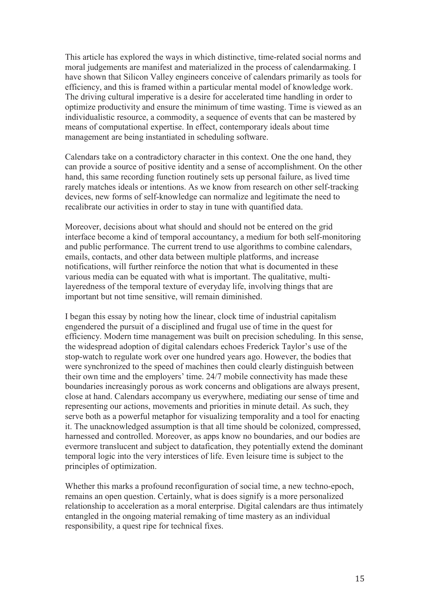This article has explored the ways in which distinctive, time-related social norms and moral judgements are manifest and materialized in the process of calendarmaking. I have shown that Silicon Valley engineers conceive of calendars primarily as tools for efficiency, and this is framed within a particular mental model of knowledge work. The driving cultural imperative is a desire for accelerated time handling in order to optimize productivity and ensure the minimum of time wasting. Time is viewed as an individualistic resource, a commodity, a sequence of events that can be mastered by means of computational expertise. In effect, contemporary ideals about time management are being instantiated in scheduling software.

Calendars take on a contradictory character in this context. One the one hand, they can provide a source of positive identity and a sense of accomplishment. On the other hand, this same recording function routinely sets up personal failure, as lived time rarely matches ideals or intentions. As we know from research on other self-tracking devices, new forms of self-knowledge can normalize and legitimate the need to recalibrate our activities in order to stay in tune with quantified data.

Moreover, decisions about what should and should not be entered on the grid interface become a kind of temporal accountancy, a medium for both self-monitoring and public performance. The current trend to use algorithms to combine calendars, emails, contacts, and other data between multiple platforms, and increase notifications, will further reinforce the notion that what is documented in these various media can be equated with what is important. The qualitative, multilayeredness of the temporal texture of everyday life, involving things that are important but not time sensitive, will remain diminished.

I began this essay by noting how the linear, clock time of industrial capitalism engendered the pursuit of a disciplined and frugal use of time in the quest for efficiency. Modern time management was built on precision scheduling. In this sense, the widespread adoption of digital calendars echoes Frederick Taylor's use of the stop-watch to regulate work over one hundred years ago. However, the bodies that were synchronized to the speed of machines then could clearly distinguish between their own time and the employers' time. 24/7 mobile connectivity has made these boundaries increasingly porous as work concerns and obligations are always present, close at hand. Calendars accompany us everywhere, mediating our sense of time and representing our actions, movements and priorities in minute detail. As such, they serve both as a powerful metaphor for visualizing temporality and a tool for enacting it. The unacknowledged assumption is that all time should be colonized, compressed, harnessed and controlled. Moreover, as apps know no boundaries, and our bodies are evermore translucent and subject to datafication, they potentially extend the dominant temporal logic into the very interstices of life. Even leisure time is subject to the principles of optimization.

Whether this marks a profound reconfiguration of social time, a new techno-epoch, remains an open question. Certainly, what is does signify is a more personalized relationship to acceleration as a moral enterprise. Digital calendars are thus intimately entangled in the ongoing material remaking of time mastery as an individual responsibility, a quest ripe for technical fixes.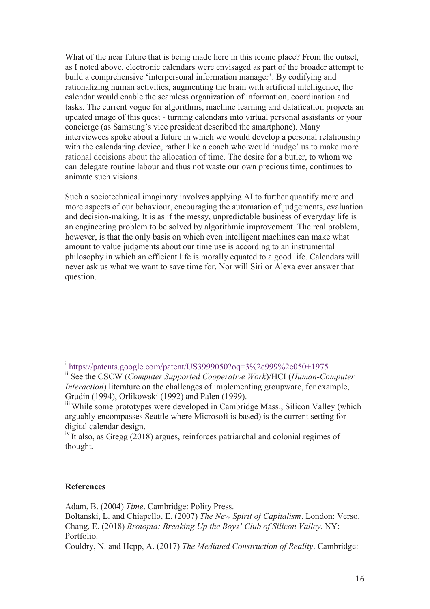What of the near future that is being made here in this iconic place? From the outset, as I noted above, electronic calendars were envisaged as part of the broader attempt to build a comprehensive 'interpersonal information manager'. By codifying and rationalizing human activities, augmenting the brain with artificial intelligence, the calendar would enable the seamless organization of information, coordination and tasks. The current vogue for algorithms, machine learning and datafication projects an updated image of this quest - turning calendars into virtual personal assistants or your concierge (as Samsung's vice president described the smartphone). Many interviewees spoke about a future in which we would develop a personal relationship with the calendaring device, rather like a coach who would 'nudge' us to make more rational decisions about the allocation of time. The desire for a butler, to whom we can delegate routine labour and thus not waste our own precious time, continues to animate such visions.

Such a sociotechnical imaginary involves applying AI to further quantify more and more aspects of our behaviour, encouraging the automation of judgements, evaluation and decision-making. It is as if the messy, unpredictable business of everyday life is an engineering problem to be solved by algorithmic improvement. The real problem, however, is that the only basis on which even intelligent machines can make what amount to value judgments about our time use is according to an instrumental philosophy in which an efficient life is morally equated to a good life. Calendars will never ask us what we want to save time for. Nor will Siri or Alexa ever answer that question.

#### **References**

 $\overline{a}$ 

Adam, B. (2004) *Time*. Cambridge: Polity Press.

i https://patents.google.com/patent/US3999050?oq=3%2c999%2c050+1975

ii See the CSCW (*Computer Supported Cooperative Work*)/HCI (*Human-Computer Interaction*) literature on the challenges of implementing groupware, for example, Grudin (1994), Orlikowski (1992) and Palen (1999).

iii While some prototypes were developed in Cambridge Mass., Silicon Valley (which arguably encompasses Seattle where Microsoft is based) is the current setting for digital calendar design.

iv It also, as Gregg (2018) argues, reinforces patriarchal and colonial regimes of thought.

Boltanski, L. and Chiapello, E. (2007) *The New Spirit of Capitalism*. London: Verso. Chang, E. (2018) *Brotopia: Breaking Up the Boys' Club of Silicon Valley*. NY: Portfolio.

Couldry, N. and Hepp, A. (2017) *The Mediated Construction of Reality*. Cambridge: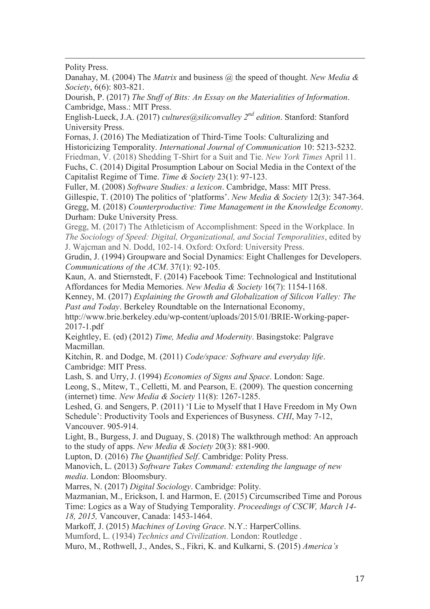Polity Press.

 $\overline{a}$ 

Danahay, M. (2004) The *Matrix* and business @ the speed of thought. *New Media & Society*, 6(6): 803-821.

Dourish, P. (2017) *The Stuff of Bits: An Essay on the Materialities of Information*. Cambridge, Mass.: MIT Press.

English-Lueck, J.A. (2017) *cultures@siliconvalley 2nd edition*. Stanford: Stanford University Press.

Fornas, J. (2016) The Mediatization of Third-Time Tools: Culturalizing and

Historicizing Temporality. *International Journal of Communication* 10: 5213-5232. Friedman, V. (2018) Shedding T-Shirt for a Suit and Tie. *New York Times* April 11.

Fuchs, C. (2014) Digital Prosumption Labour on Social Media in the Context of the Capitalist Regime of Time. *Time & Society* 23(1): 97-123.

Fuller, M. (2008) *Software Studies: a lexicon*. Cambridge, Mass: MIT Press.

Gillespie, T. (2010) The politics of 'platforms'. *New Media & Society* 12(3): 347-364.

Gregg, M. (2018) *Counterproductive: Time Management in the Knowledge Economy*. Durham: Duke University Press.

Gregg, M. (2017) The Athleticism of Accomplishment: Speed in the Workplace. In *The Sociology of Speed: Digital, Organizational, and Social Temporalities*, edited by J. Wajcman and N. Dodd, 102-14. Oxford: Oxford: University Press.

Grudin, J. (1994) Groupware and Social Dynamics: Eight Challenges for Developers. *Communications of the ACM*. 37(1): 92-105.

Kaun, A. and Stiernstedt, F. (2014) Facebook Time: Technological and Institutional Affordances for Media Memories. *New Media & Society* 16(7): 1154-1168.

Kenney, M. (2017) *Explaining the Growth and Globalization of Silicon Valley: The Past and Today*. Berkeley Roundtable on the International Economy,

http://www.brie.berkeley.edu/wp-content/uploads/2015/01/BRIE-Working-paper-2017-1.pdf

Keightley, E. (ed) (2012) *Time, Media and Modernity*. Basingstoke: Palgrave Macmillan.

Kitchin, R. and Dodge, M. (2011) *Code/space: Software and everyday life*. Cambridge: MIT Press.

Lash, S. and Urry, J. (1994) *Economies of Signs and Space*. London: Sage.

Leong, S., Mitew, T., Celletti, M. and Pearson, E. (2009). The question concerning (internet) time. *New Media & Society* 11(8): 1267-1285.

Leshed, G. and Sengers, P. (2011) 'I Lie to Myself that I Have Freedom in My Own Schedule': Productivity Tools and Experiences of Busyness. *CHI*, May 7-12, Vancouver. 905-914.

Light, B., Burgess, J. and Duguay, S. (2018) The walkthrough method: An approach to the study of apps. *New Media & Society* 20(3): 881-900.

Lupton, D. (2016) *The Quantified Self*. Cambridge: Polity Press.

Manovich, L. (2013) *Software Takes Command: extending the language of new media*. London: Bloomsbury.

Marres, N. (2017) *Digital Sociology*. Cambridge: Polity.

Mazmanian, M., Erickson, I. and Harmon, E. (2015) Circumscribed Time and Porous Time: Logics as a Way of Studying Temporality. *Proceedings of CSCW, March 14- 18, 2015,* Vancouver, Canada: 1453-1464.

Markoff, J. (2015) *Machines of Loving Grace*. N.Y.: HarperCollins.

Mumford, L. (1934) *Technics and Civilization*. London: Routledge .

Muro, M., Rothwell, J., Andes, S., Fikri, K. and Kulkarni, S. (2015) *America's*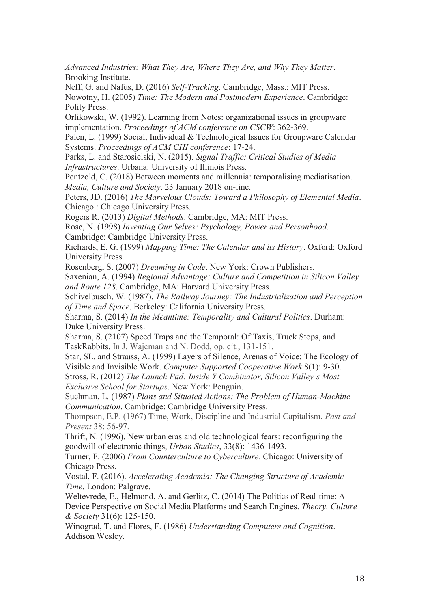*Advanced Industries: What They Are, Where They Are, and Why They Matter*. Brooking Institute.

Neff, G. and Nafus, D. (2016) *Self-Tracking*. Cambridge, Mass.: MIT Press.

Nowotny, H. (2005) *Time: The Modern and Postmodern Experience*. Cambridge: Polity Press.

Orlikowski, W. (1992). Learning from Notes: organizational issues in groupware implementation. *Proceedings of ACM conference on CSCW*: 362-369.

Palen, L. (1999) Social, Individual & Technological Issues for Groupware Calendar Systems. *Proceedings of ACM CHI conference*: 17-24.

Parks, L. and Starosielski, N. (2015). *Signal Traffic: Critical Studies of Media Infrastructures*. Urbana: University of Illinois Press.

Pentzold, C. (2018) Between moments and millennia: temporalising mediatisation. *Media, Culture and Society*. 23 January 2018 on-line.

Peters, JD. (2016) *The Marvelous Clouds: Toward a Philosophy of Elemental Media*. Chicago : Chicago University Press.

Rogers R. (2013) *Digital Methods*. Cambridge, MA: MIT Press.

Rose, N. (1998) *Inventing Our Selves: Psychology, Power and Personhood*.

Cambridge: Cambridge University Press.

 $\overline{a}$ 

Richards, E. G. (1999) *Mapping Time: The Calendar and its History*. Oxford: Oxford University Press.

Rosenberg, S. (2007) *Dreaming in Code*. New York: Crown Publishers.

Saxenian, A. (1994) *Regional Advantage: Culture and Competition in Silicon Valley and Route 128*. Cambridge, MA: Harvard University Press.

Schivelbusch, W. (1987). *The Railway Journey: The Industrialization and Perception of Time and Space*. Berkeley: California University Press.

Sharma, S. (2014) *In the Meantime: Temporality and Cultural Politics*. Durham: Duke University Press.

Sharma, S. (2107) Speed Traps and the Temporal: Of Taxis, Truck Stops, and TaskRabbits. In J. Wajcman and N. Dodd, op. cit., 131-151.

Star, SL. and Strauss, A. (1999) Layers of Silence, Arenas of Voice: The Ecology of Visible and Invisible Work. *Computer Supported Cooperative Work* 8(1): 9-30.

Stross, R. (2012) *The Launch Pad: Inside Y Combinator, Silicon Valley's Most Exclusive School for Startups*. New York: Penguin.

Suchman, L. (1987) *Plans and Situated Actions: The Problem of Human-Machine Communication*. Cambridge: Cambridge University Press.

Thompson, E.P. (1967) Time, Work, Discipline and Industrial Capitalism. *Past and Present* 38: 56-97.

Thrift, N. (1996). New urban eras and old technological fears: reconfiguring the goodwill of electronic things, *Urban Studies*, 33(8): 1436-1493.

Turner, F. (2006) *From Counterculture to Cyberculture*. Chicago: University of Chicago Press.

Vostal, F. (2016). *Accelerating Academia: The Changing Structure of Academic Time*. London: Palgrave.

Weltevrede, E., Helmond, A. and Gerlitz, C. (2014) The Politics of Real-time: A Device Perspective on Social Media Platforms and Search Engines. *Theory, Culture & Society* 31(6): 125-150.

Winograd, T. and Flores, F. (1986) *Understanding Computers and Cognition*. Addison Wesley.